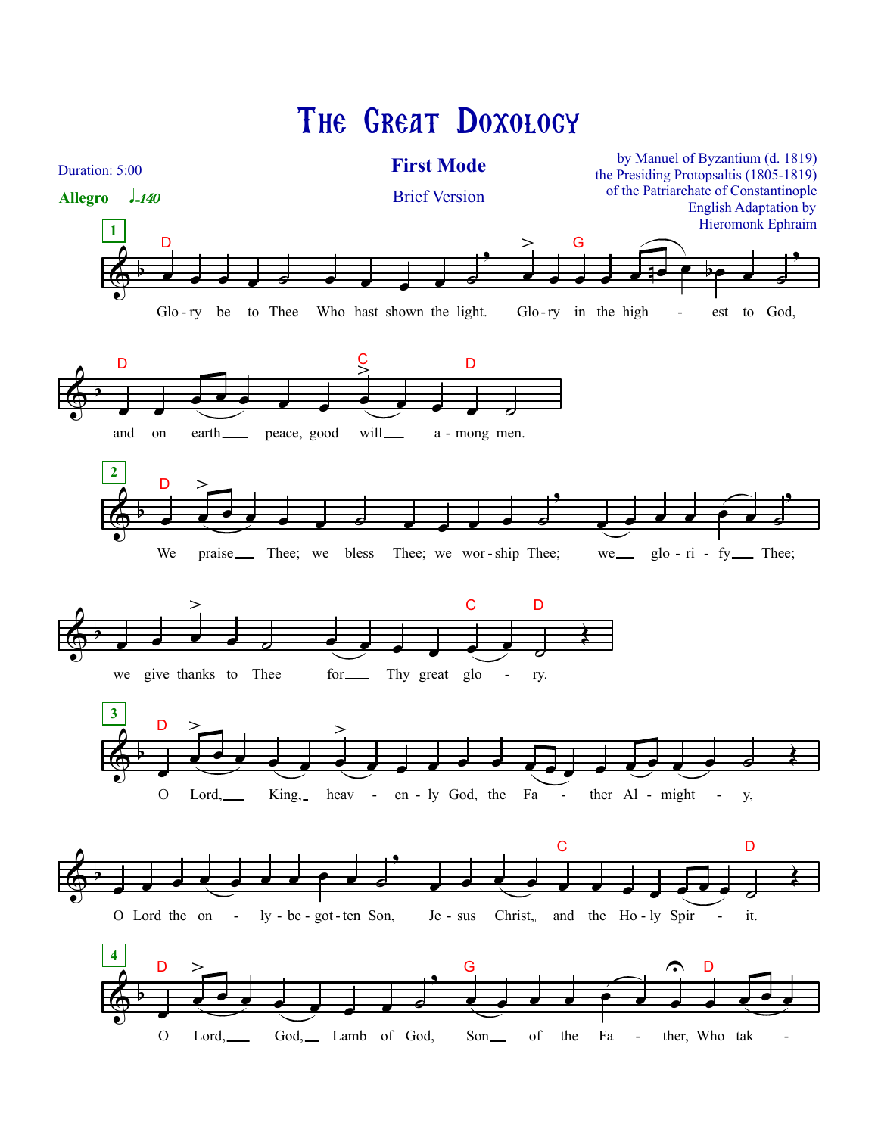## The Great Doxology

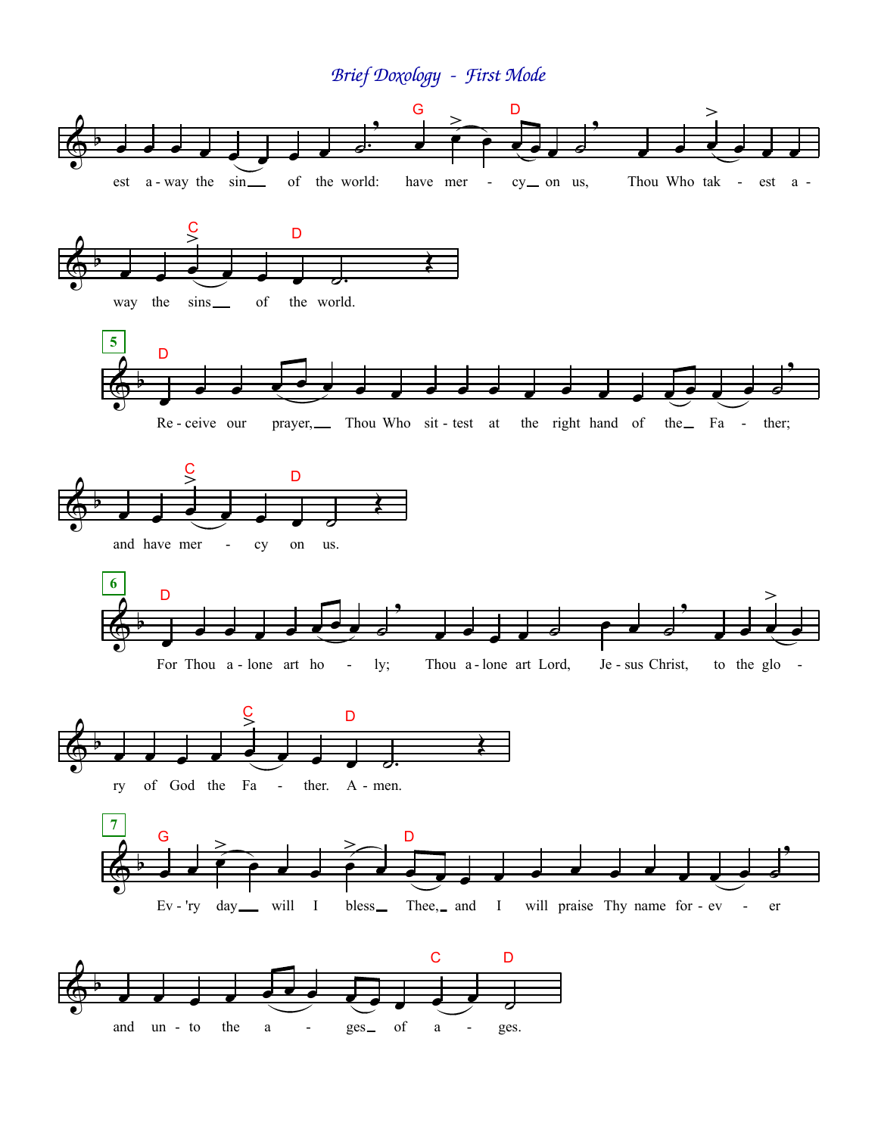*Brief Doxology - First Mode*

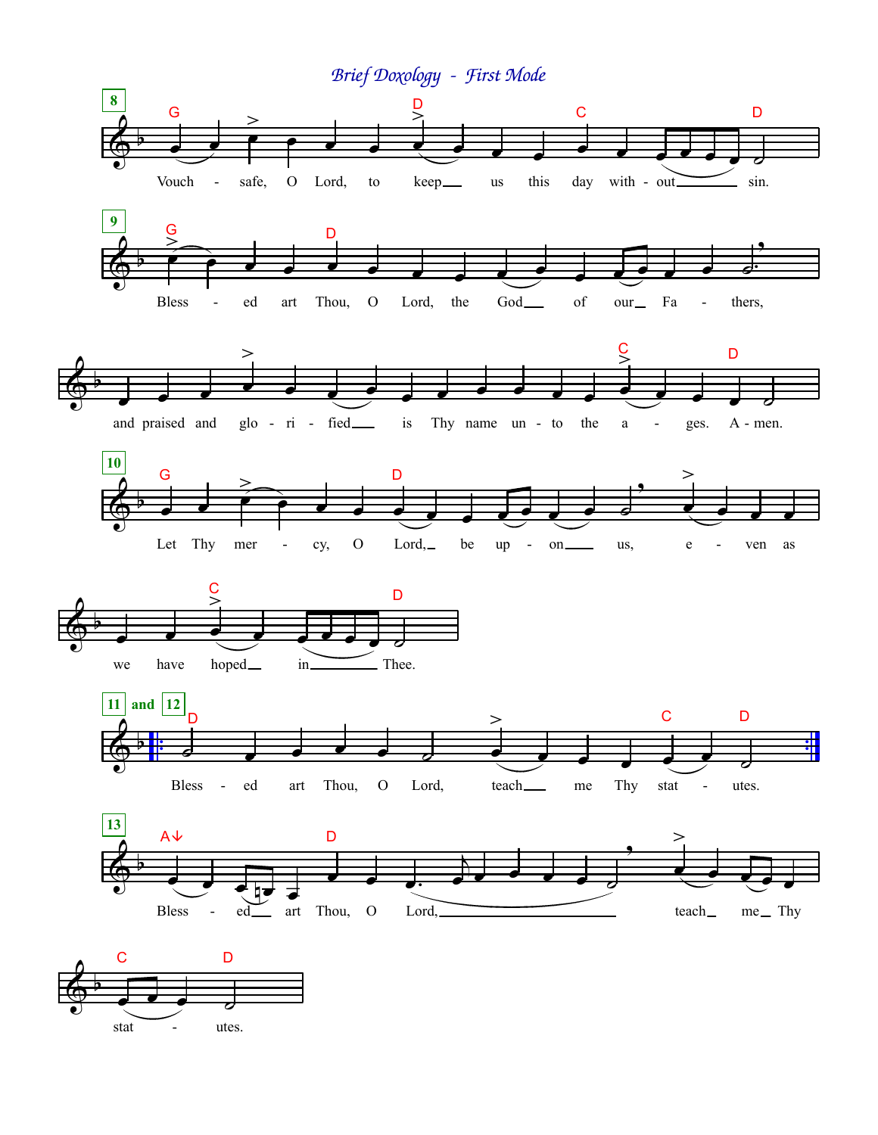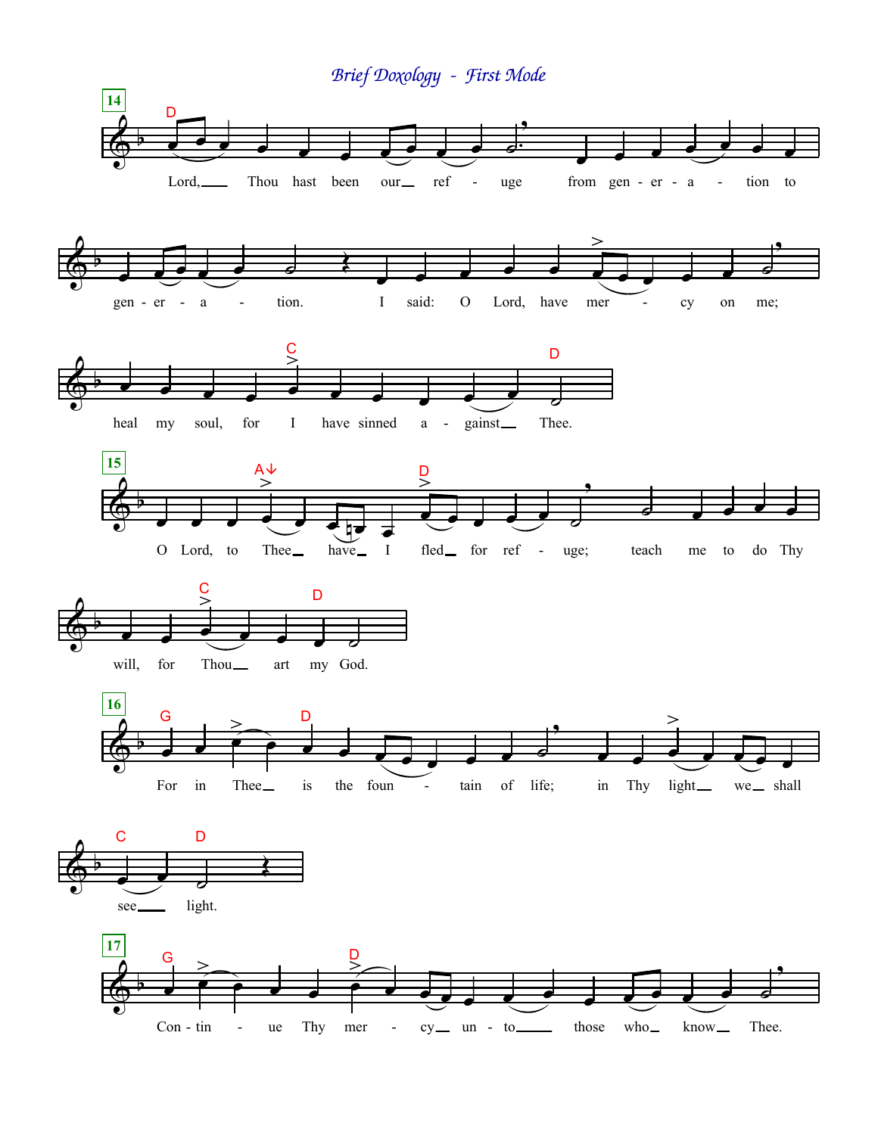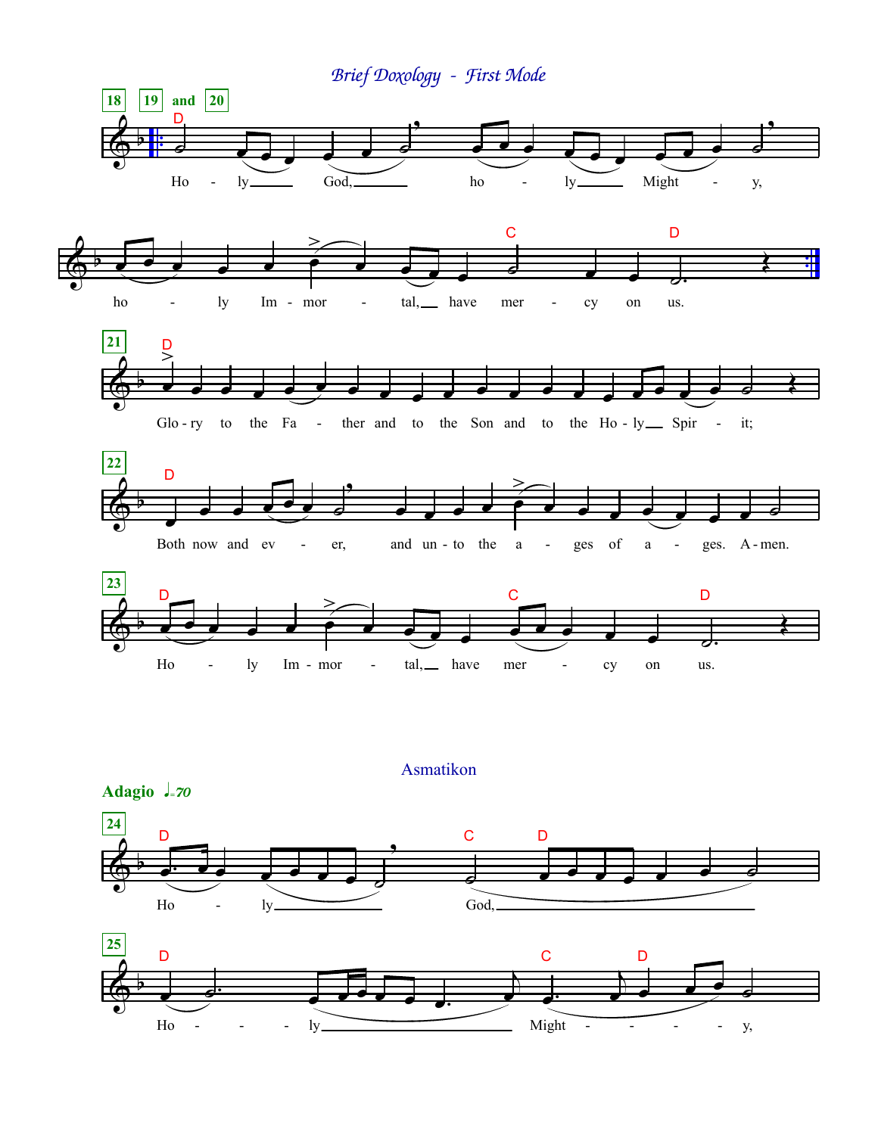

## Asmatikon